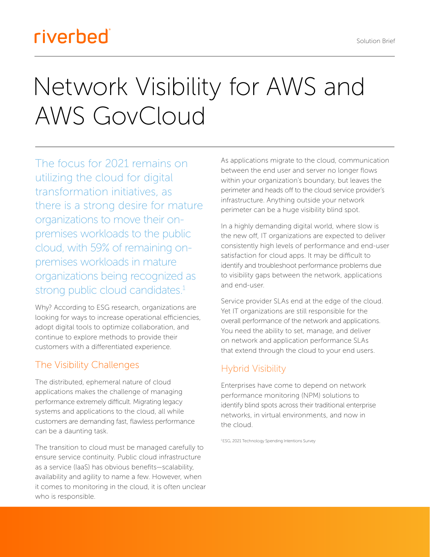Solution Brief

# riverbed

# Network Visibility for AWS and AWS GovCloud

The focus for 2021 remains on utilizing the cloud for digital transformation initiatives, as there is a strong desire for mature organizations to move their onpremises workloads to the public cloud, with 59% of remaining onpremises workloads in mature organizations being recognized as strong public cloud candidates.<sup>1</sup>

Why? According to ESG research, organizations are looking for ways to increase operational efficiencies, adopt digital tools to optimize collaboration, and continue to explore methods to provide their customers with a differentiated experience.

## The Visibility Challenges

The distributed, ephemeral nature of cloud applications makes the challenge of managing performance extremely difficult. Migrating legacy systems and applications to the cloud, all while customers are demanding fast, flawless performance can be a daunting task.

The transition to cloud must be managed carefully to ensure service continuity. Public cloud infrastructure as a service (IaaS) has obvious benefits—scalability, availability and agility to name a few. However, when it comes to monitoring in the cloud, it is often unclear who is responsible.

As applications migrate to the cloud, communication between the end user and server no longer flows within your organization's boundary, but leaves the perimeter and heads off to the cloud service provider's infrastructure. Anything outside your network perimeter can be a huge visibility blind spot.

In a highly demanding digital world, where slow is the new off, IT organizations are expected to deliver consistently high levels of performance and end-user satisfaction for cloud apps. It may be difficult to identify and troubleshoot performance problems due to visibility gaps between the network, applications and end-user.

Service provider SLAs end at the edge of the cloud. Yet IT organizations are still responsible for the overall performance of the network and applications. You need the ability to set, manage, and deliver on network and application performance SLAs that extend through the cloud to your end users.

## Hybrid Visibility

Enterprises have come to depend on network performance monitoring (NPM) solutions to identify blind spots across their traditional enterprise networks, in virtual environments, and now in the cloud.

1 ESG, 2021 Technology Spending Intentions Survey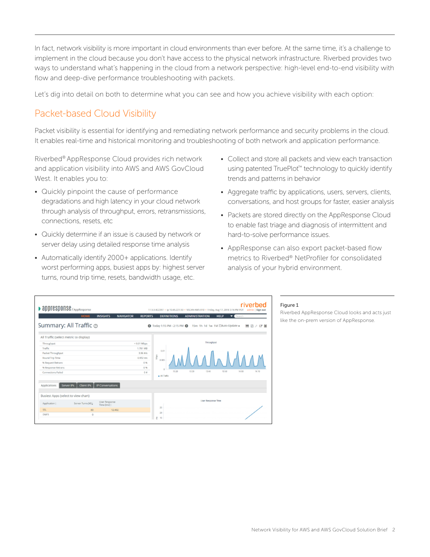In fact, network visibility is more important in cloud environments than ever before. At the same time, it's a challenge to implement in the cloud because you don't have access to the physical network infrastructure. Riverbed provides two ways to understand what's happening in the cloud from a network perspective: high-level end-to-end visibility with flow and deep-dive performance troubleshooting with packets.

Let's dig into detail on both to determine what you can see and how you achieve visibility with each option:

#### Packet-based Cloud Visibility

Packet visibility is essential for identifying and remediating network performance and security problems in the cloud. It enables real-time and historical monitoring and troubleshooting of both network and application performance.

Riverbed® AppResponse Cloud provides rich network and application visibility into AWS and AWS GovCloud West. It enables you to:

- Quickly pinpoint the cause of performance degradations and high latency in your cloud network through analysis of throughput, errors, retransmissions, connections, resets, etc
- Quickly determine if an issue is caused by network or server delay using detailed response time analysis
- Automatically identify 2000+ applications. Identify worst performing apps, busiest apps by: highest server turns, round trip time, resets, bandwidth usage, etc.
- Collect and store all packets and view each transaction using patented TruePlot™ technology to quickly identify trends and patterns in behavior
- Aggregate traffic by applications, users, servers, clients, conversations, and host groups for faster, easier analysis
- Packets are stored directly on the AppResponse Cloud to enable fast triage and diagnosis of intermittent and hard-to-solve performance issues.
- AppResponse can also export packet-based flow metrics to Riverbed® NetProfiler for consolidated analysis of your hybrid environment.

| • appresponse / AppResponse                                                       |                                    | riverbed<br>11.5.5 #22397 · ip 10.45.221.53 · VSCAN-AWS-010 · Friday, Aug 17, 2018 3:16 PM PDT<br>admin   Sign out |  |  |
|-----------------------------------------------------------------------------------|------------------------------------|--------------------------------------------------------------------------------------------------------------------|--|--|
| <b>HOME</b><br><b>INSIGHTS</b>                                                    | <b>NAVIGATOR</b><br><b>REPORTS</b> | Search<br><b>DEFINITIONS</b><br><b>ADMINISTRATION</b><br><b>HELP</b>                                               |  |  |
| Summary: All Traffic $\odot$                                                      |                                    | Today 1:15 PM - 2:15 PM @ 15m 1h 1d 1w 1M EAuto-Update -<br>日日とび国                                                  |  |  |
| All Traffic (select metric to display)                                            |                                    |                                                                                                                    |  |  |
| Throughput                                                                        | $< 0.01$ Mbps                      | Throughput                                                                                                         |  |  |
| Traffic                                                                           | 1.781 MB                           |                                                                                                                    |  |  |
| Packet Throughput                                                                 | $3.96$ #/s                         | 0.01                                                                                                               |  |  |
| Round Trip Time                                                                   | $0.952$ ms.                        | Mops<br>0.005                                                                                                      |  |  |
| % Request Retrans                                                                 | 0%                                 |                                                                                                                    |  |  |
| % Response Retrans                                                                | 0%                                 |                                                                                                                    |  |  |
| <b>Connections Failed</b>                                                         | 0 <sup>4</sup>                     | 13:20<br>13:30<br>13:40<br>13:50<br>14:00<br>14:10<br>· All Traffic                                                |  |  |
| <b>Client IPs</b><br><b>IP Conversations</b><br>Applications<br><b>Server IPs</b> |                                    |                                                                                                                    |  |  |
| Busiest Apps (select to view chart)                                               |                                    |                                                                                                                    |  |  |
| <b>User Response</b><br>Server Turns [#] ¢<br>Application:<br>Time [ms]:          |                                    | <b>User Response Time</b><br>25                                                                                    |  |  |
| SSL<br>80                                                                         | 12,402                             | 20                                                                                                                 |  |  |
| DNP3<br>$\circ$                                                                   |                                    | Ē<br>15                                                                                                            |  |  |

#### Figure 1

Riverbed AppResponse Cloud looks and acts just like the on-prem version of AppResponse.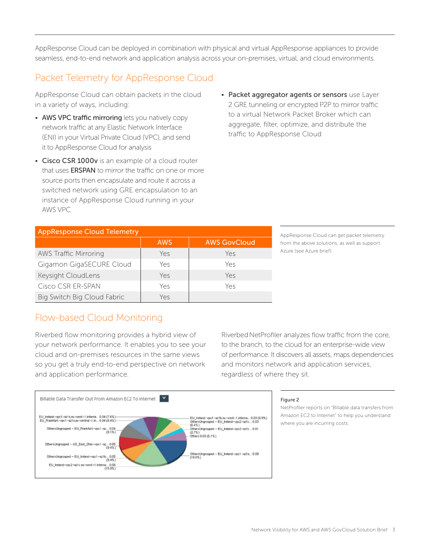AppResponse Cloud can be deployed in combination with physical and virtual AppResponse appliances to provide seamless, end-to-end network and application analysis across your on-premises, virtual, and cloud environments.

## Packet Telemetry for AppResponse Cloud

AppResponse Cloud can obtain packets in the cloud in a variety of ways, including:

- AWS VPC traffic mirroring lets you natively copy network traffic at any Elastic Network Interface (ENI) in your Virtual Private Cloud (VPC), and send it to AppResponse Cloud for analysis
- Cisco CSR 1000v is an example of a cloud router that uses **ERSPAN** to mirror the traffic on one or more source ports then encapsulate and route it across a switched network using GRE encapsulation to an instance of AppResponse Cloud running in your AWS VPC
- Packet aggregator agents or sensors use Layer 2 GRE tunneling or encrypted P2P to mirror traffic to a virtual Network Packet Broker which can aggregate, filter, optimize, and distribute the traffic to AppResponse Cloud

| <b>AppResponse Cloud Telemetry</b> |            |                     |  |  |  |
|------------------------------------|------------|---------------------|--|--|--|
|                                    | <b>AWS</b> | <b>AWS GovCloud</b> |  |  |  |
| <b>AWS Traffic Mirroring</b>       | Yes        | Yes                 |  |  |  |
| Gigamon GigaSECURE Cloud           | Yes        | Yes                 |  |  |  |
| Keysight CloudLens                 | Yes        | Yes                 |  |  |  |
| Cisco CSR ER-SPAN                  | Yes        | Yes                 |  |  |  |
| Big Switch Big Cloud Fabric        | Yes        |                     |  |  |  |

AppResponse Cloud can get packet telemetry from the above solutions, as well as support Azure (see Azure brief).

#### Flow-based Cloud Monitoring

Riverbed flow monitoring provides a hybrid view of your network performance. It enables you to see your cloud and on-premises resources in the same views so you get a truly end-to-end perspective on network and application performance.

Riverbed NetProfiler analyzes flow traffic from the core, to the branch, to the cloud for an enterprise-wide view of performance. It discovers all assets, maps dependencies and monitors network and application services, regardless of where they sit.



#### Figure 2

NetProfiler reports on "Billable data transfers from Amazon EC2 to Internet" to help you understand where you are incurring costs.